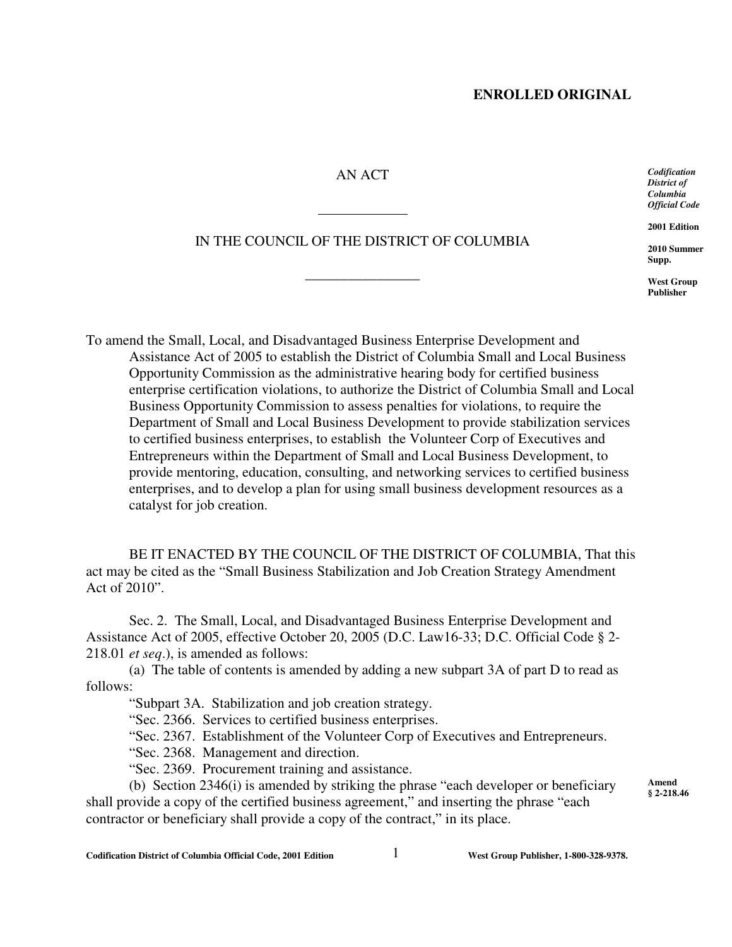## AN ACT

IN THE COUNCIL OF THE DISTRICT OF COLUMBIA

\_\_\_\_\_\_\_\_\_\_\_\_\_\_\_\_

l,

*Codification District of Columbia Official Code*

**2001 Edition**

**2010 Summer Supp.**

**West Group Publisher**

**Amend § 2-218.46**

To amend the Small, Local, and Disadvantaged Business Enterprise Development and Assistance Act of 2005 to establish the District of Columbia Small and Local Business Opportunity Commission as the administrative hearing body for certified business enterprise certification violations, to authorize the District of Columbia Small and Local Business Opportunity Commission to assess penalties for violations, to require the Department of Small and Local Business Development to provide stabilization services to certified business enterprises, to establish the Volunteer Corp of Executives and Entrepreneurs within the Department of Small and Local Business Development, to provide mentoring, education, consulting, and networking services to certified business enterprises, and to develop a plan for using small business development resources as a catalyst for job creation.

BE IT ENACTED BY THE COUNCIL OF THE DISTRICT OF COLUMBIA, That this act may be cited as the "Small Business Stabilization and Job Creation Strategy Amendment Act of 2010".

Sec. 2. The Small, Local, and Disadvantaged Business Enterprise Development and Assistance Act of 2005, effective October 20, 2005 (D.C. Law16-33; D.C. Official Code § 2- 218.01 *et seq*.), is amended as follows:

(a) The table of contents is amended by adding a new subpart 3A of part D to read as follows:

"Subpart 3A. Stabilization and job creation strategy.

"Sec. 2366. Services to certified business enterprises.

"Sec. 2367. Establishment of the Volunteer Corp of Executives and Entrepreneurs.

"Sec. 2368. Management and direction.

"Sec. 2369. Procurement training and assistance.

(b) Section 2346(i) is amended by striking the phrase "each developer or beneficiary shall provide a copy of the certified business agreement," and inserting the phrase "each contractor or beneficiary shall provide a copy of the contract," in its place.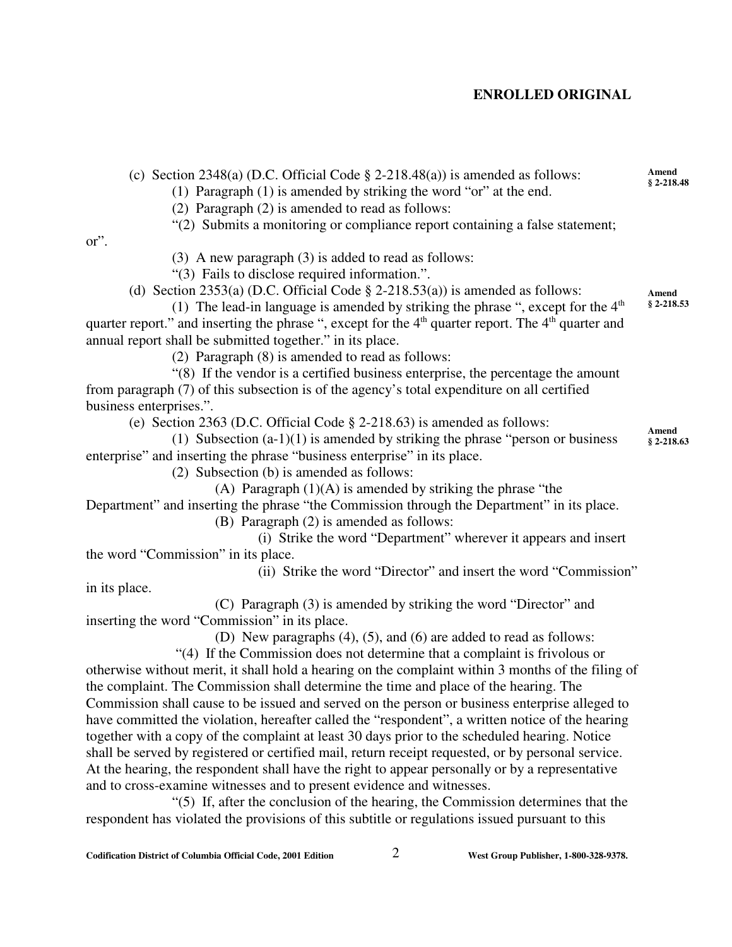| (c) Section 2348(a) (D.C. Official Code $\S$ 2-218.48(a)) is amended as follows:<br>(1) Paragraph $(1)$ is amended by striking the word "or" at the end.<br>(2) Paragraph (2) is amended to read as follows:<br>"(2) Submits a monitoring or compliance report containing a false statement; | Amend<br>$§ 2-218.48$ |
|----------------------------------------------------------------------------------------------------------------------------------------------------------------------------------------------------------------------------------------------------------------------------------------------|-----------------------|
| or".<br>(3) A new paragraph (3) is added to read as follows:                                                                                                                                                                                                                                 |                       |
| "(3) Fails to disclose required information.".                                                                                                                                                                                                                                               |                       |
| (d) Section 2353(a) (D.C. Official Code $\S$ 2-218.53(a)) is amended as follows:                                                                                                                                                                                                             | Amend                 |
| (1) The lead-in language is amended by striking the phrase ", except for the $4th$                                                                                                                                                                                                           | $§$ 2-218.53          |
| quarter report." and inserting the phrase ", except for the $4th$ quarter report. The $4th$ quarter and                                                                                                                                                                                      |                       |
| annual report shall be submitted together." in its place.                                                                                                                                                                                                                                    |                       |
| (2) Paragraph (8) is amended to read as follows:                                                                                                                                                                                                                                             |                       |
| "(8) If the vendor is a certified business enterprise, the percentage the amount                                                                                                                                                                                                             |                       |
| from paragraph (7) of this subsection is of the agency's total expenditure on all certified                                                                                                                                                                                                  |                       |
| business enterprises.".                                                                                                                                                                                                                                                                      |                       |
| (e) Section 2363 (D.C. Official Code $\S$ 2-218.63) is amended as follows:                                                                                                                                                                                                                   | Amend                 |
| (1) Subsection $(a-1)(1)$ is amended by striking the phrase "person or business"                                                                                                                                                                                                             | $§$ 2-218.63          |
| enterprise" and inserting the phrase "business enterprise" in its place.                                                                                                                                                                                                                     |                       |
| (2) Subsection (b) is amended as follows:                                                                                                                                                                                                                                                    |                       |
| (A) Paragraph $(1)(A)$ is amended by striking the phrase "the                                                                                                                                                                                                                                |                       |
| Department" and inserting the phrase "the Commission through the Department" in its place.                                                                                                                                                                                                   |                       |
| (B) Paragraph (2) is amended as follows:                                                                                                                                                                                                                                                     |                       |
| (i) Strike the word "Department" wherever it appears and insert                                                                                                                                                                                                                              |                       |
| the word "Commission" in its place.                                                                                                                                                                                                                                                          |                       |
| (ii) Strike the word "Director" and insert the word "Commission"                                                                                                                                                                                                                             |                       |
| in its place.                                                                                                                                                                                                                                                                                |                       |
| (C) Paragraph (3) is amended by striking the word "Director" and                                                                                                                                                                                                                             |                       |
| inserting the word "Commission" in its place.<br>(D) New paragraphs (4), (5), and (6) are added to read as follows:                                                                                                                                                                          |                       |
| "(4) If the Commission does not determine that a complaint is frivolous or                                                                                                                                                                                                                   |                       |
| otherwise without merit, it shall hold a hearing on the complaint within 3 months of the filing of                                                                                                                                                                                           |                       |
| the complaint. The Commission shall determine the time and place of the hearing. The                                                                                                                                                                                                         |                       |
| Commission shall cause to be issued and served on the person or business enterprise alleged to                                                                                                                                                                                               |                       |
| have committed the violation, hereafter called the "respondent", a written notice of the hearing                                                                                                                                                                                             |                       |
| together with a copy of the complaint at least 30 days prior to the scheduled hearing. Notice                                                                                                                                                                                                |                       |
| shall be served by registered or certified mail, return receipt requested, or by personal service.                                                                                                                                                                                           |                       |
| At the hearing, the respondent shall have the right to appear personally or by a representative                                                                                                                                                                                              |                       |

"(5) If, after the conclusion of the hearing, the Commission determines that the respondent has violated the provisions of this subtitle or regulations issued pursuant to this

and to cross-examine witnesses and to present evidence and witnesses.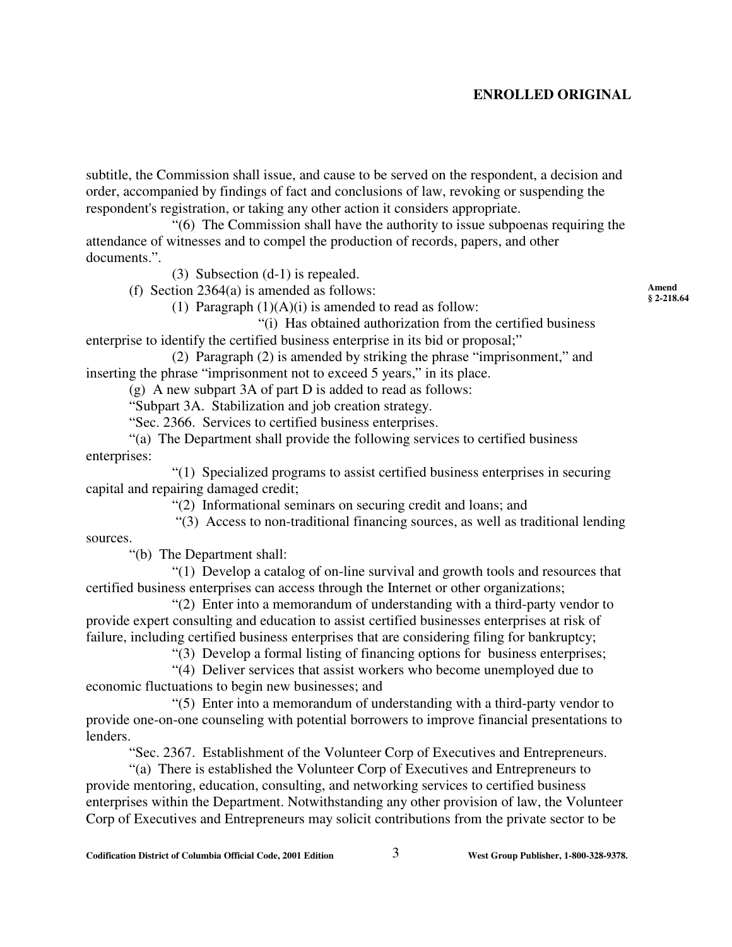subtitle, the Commission shall issue, and cause to be served on the respondent, a decision and order, accompanied by findings of fact and conclusions of law, revoking or suspending the respondent's registration, or taking any other action it considers appropriate.

"(6) The Commission shall have the authority to issue subpoenas requiring the attendance of witnesses and to compel the production of records, papers, and other documents.".

(3) Subsection (d-1) is repealed.

(f) Section 2364(a) is amended as follows:

(1) Paragraph  $(1)(A)(i)$  is amended to read as follow:

"(i) Has obtained authorization from the certified business enterprise to identify the certified business enterprise in its bid or proposal;"

(2) Paragraph (2) is amended by striking the phrase "imprisonment," and inserting the phrase "imprisonment not to exceed 5 years," in its place.

(g) A new subpart 3A of part D is added to read as follows:

"Subpart 3A. Stabilization and job creation strategy.

"Sec. 2366. Services to certified business enterprises.

"(a) The Department shall provide the following services to certified business enterprises:

"(1) Specialized programs to assist certified business enterprises in securing capital and repairing damaged credit;

"(2) Informational seminars on securing credit and loans; and

 "(3) Access to non-traditional financing sources, as well as traditional lending sources.

"(b) The Department shall:

"(1) Develop a catalog of on-line survival and growth tools and resources that certified business enterprises can access through the Internet or other organizations;

"(2) Enter into a memorandum of understanding with a third-party vendor to provide expert consulting and education to assist certified businesses enterprises at risk of failure, including certified business enterprises that are considering filing for bankruptcy;

"(3) Develop a formal listing of financing options for business enterprises;

"(4) Deliver services that assist workers who become unemployed due to economic fluctuations to begin new businesses; and

"(5) Enter into a memorandum of understanding with a third-party vendor to provide one-on-one counseling with potential borrowers to improve financial presentations to lenders.

"Sec. 2367. Establishment of the Volunteer Corp of Executives and Entrepreneurs.

"(a) There is established the Volunteer Corp of Executives and Entrepreneurs to provide mentoring, education, consulting, and networking services to certified business enterprises within the Department. Notwithstanding any other provision of law, the Volunteer Corp of Executives and Entrepreneurs may solicit contributions from the private sector to be

**Amend § 2-218.64**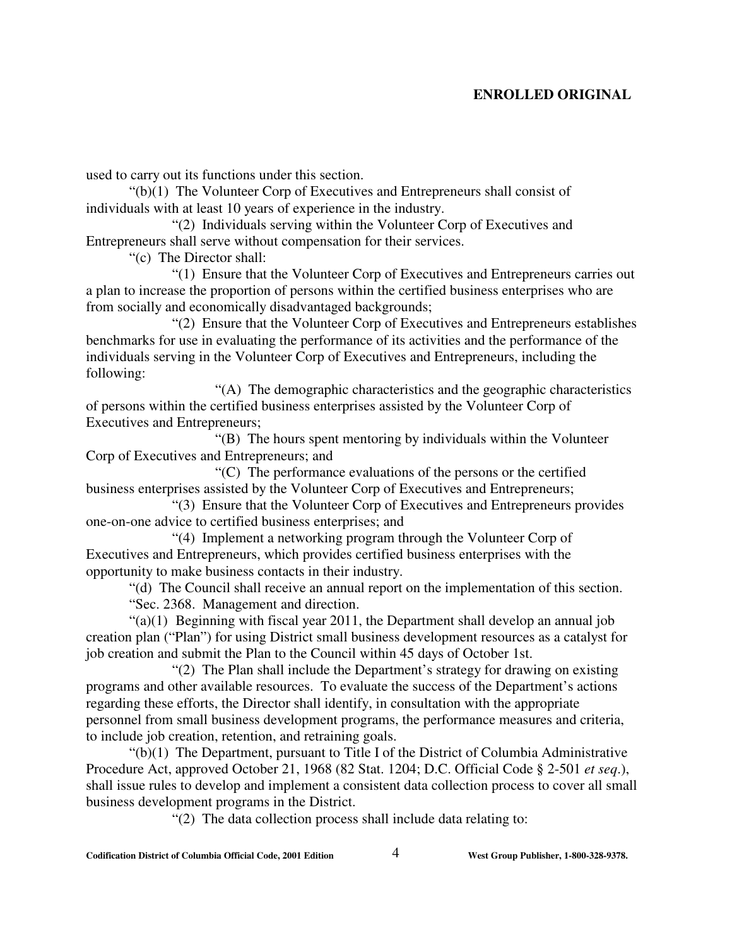used to carry out its functions under this section.

"(b)(1) The Volunteer Corp of Executives and Entrepreneurs shall consist of individuals with at least 10 years of experience in the industry.

"(2) Individuals serving within the Volunteer Corp of Executives and Entrepreneurs shall serve without compensation for their services.

"(c) The Director shall:

"(1) Ensure that the Volunteer Corp of Executives and Entrepreneurs carries out a plan to increase the proportion of persons within the certified business enterprises who are from socially and economically disadvantaged backgrounds;

"(2) Ensure that the Volunteer Corp of Executives and Entrepreneurs establishes benchmarks for use in evaluating the performance of its activities and the performance of the individuals serving in the Volunteer Corp of Executives and Entrepreneurs, including the following:

"(A) The demographic characteristics and the geographic characteristics of persons within the certified business enterprises assisted by the Volunteer Corp of Executives and Entrepreneurs;

 "(B) The hours spent mentoring by individuals within the Volunteer Corp of Executives and Entrepreneurs; and

"(C) The performance evaluations of the persons or the certified business enterprises assisted by the Volunteer Corp of Executives and Entrepreneurs;

"(3) Ensure that the Volunteer Corp of Executives and Entrepreneurs provides one-on-one advice to certified business enterprises; and

"(4) Implement a networking program through the Volunteer Corp of Executives and Entrepreneurs, which provides certified business enterprises with the opportunity to make business contacts in their industry.

"(d) The Council shall receive an annual report on the implementation of this section. "Sec. 2368. Management and direction.

 $\lq(2)(1)$  Beginning with fiscal year 2011, the Department shall develop an annual job creation plan ("Plan") for using District small business development resources as a catalyst for job creation and submit the Plan to the Council within 45 days of October 1st.

"(2) The Plan shall include the Department's strategy for drawing on existing programs and other available resources. To evaluate the success of the Department's actions regarding these efforts, the Director shall identify, in consultation with the appropriate personnel from small business development programs, the performance measures and criteria, to include job creation, retention, and retraining goals.

"(b)(1) The Department, pursuant to Title I of the District of Columbia Administrative Procedure Act, approved October 21, 1968 (82 Stat. 1204; D.C. Official Code § 2-501 *et seq*.), shall issue rules to develop and implement a consistent data collection process to cover all small business development programs in the District.

"(2) The data collection process shall include data relating to: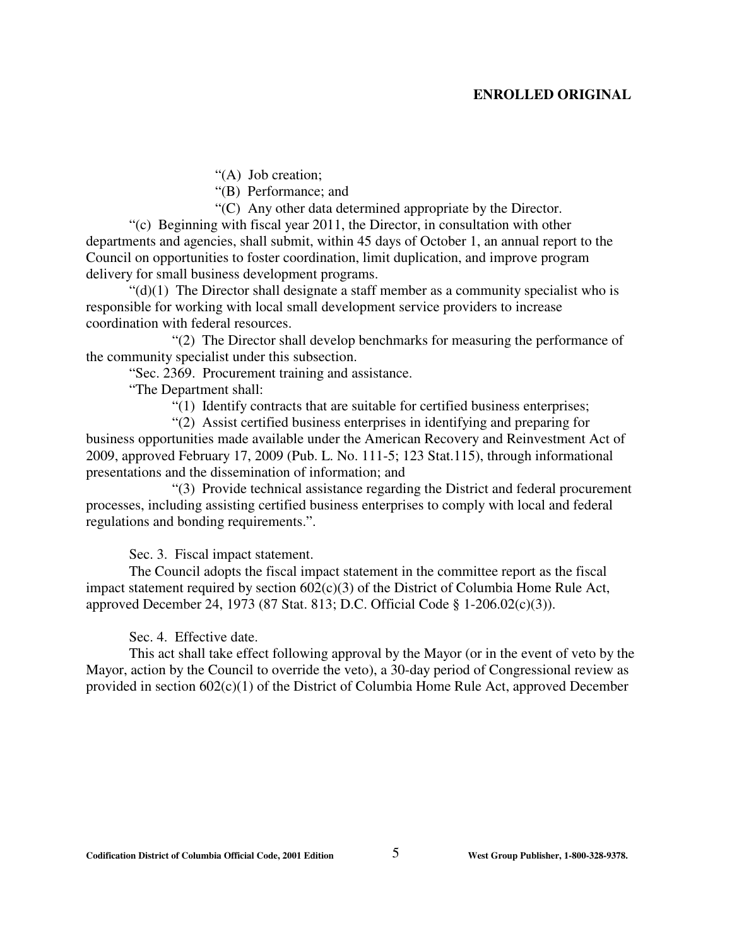"(A) Job creation;

"(B) Performance; and

"(C) Any other data determined appropriate by the Director.

"(c) Beginning with fiscal year 2011, the Director, in consultation with other departments and agencies, shall submit, within 45 days of October 1, an annual report to the Council on opportunities to foster coordination, limit duplication, and improve program delivery for small business development programs.

 $\mathcal{L}(d)(1)$  The Director shall designate a staff member as a community specialist who is responsible for working with local small development service providers to increase coordination with federal resources.

"(2) The Director shall develop benchmarks for measuring the performance of the community specialist under this subsection.

"Sec. 2369. Procurement training and assistance.

"The Department shall:

"(1) Identify contracts that are suitable for certified business enterprises;

"(2) Assist certified business enterprises in identifying and preparing for business opportunities made available under the American Recovery and Reinvestment Act of 2009, approved February 17, 2009 (Pub. L. No. 111-5; 123 Stat.115), through informational presentations and the dissemination of information; and

"(3) Provide technical assistance regarding the District and federal procurement processes, including assisting certified business enterprises to comply with local and federal regulations and bonding requirements.".

Sec. 3. Fiscal impact statement.

The Council adopts the fiscal impact statement in the committee report as the fiscal impact statement required by section 602(c)(3) of the District of Columbia Home Rule Act, approved December 24, 1973 (87 Stat. 813; D.C. Official Code § 1-206.02(c)(3)).

Sec. 4. Effective date.

This act shall take effect following approval by the Mayor (or in the event of veto by the Mayor, action by the Council to override the veto), a 30-day period of Congressional review as provided in section 602(c)(1) of the District of Columbia Home Rule Act, approved December